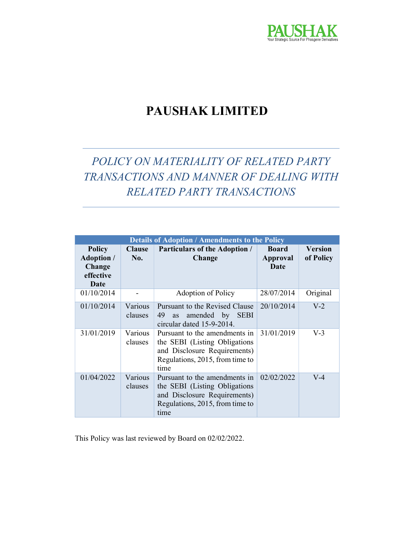

# PAUSHAK LIMITED

# POLICY ON MATERIALITY OF RELATED PARTY TRANSACTIONS AND MANNER OF DEALING WITH RELATED PARTY TRANSACTIONS

| <b>Details of Adoption / Amendments to the Policy</b>             |                             |                                                                                                                                           |                                         |                             |
|-------------------------------------------------------------------|-----------------------------|-------------------------------------------------------------------------------------------------------------------------------------------|-----------------------------------------|-----------------------------|
| <b>Policy</b><br><b>Adoption</b> /<br>Change<br>effective<br>Date | <b>Clause</b><br><b>No.</b> | <b>Particulars of the Adoption /</b><br>Change                                                                                            | <b>Board</b><br><b>Approval</b><br>Date | <b>Version</b><br>of Policy |
| 01/10/2014                                                        |                             | Adoption of Policy                                                                                                                        | 28/07/2014                              | Original                    |
| 01/10/2014                                                        | Various<br>clauses          | Pursuant to the Revised Clause<br>49<br>amended by SEBI<br>as<br>circular dated 15-9-2014.                                                | 20/10/2014                              | $V-2$                       |
| 31/01/2019                                                        | Various<br>clauses          | Pursuant to the amendments in<br>the SEBI (Listing Obligations<br>and Disclosure Requirements)<br>Regulations, 2015, from time to<br>time | 31/01/2019                              | $V-3$                       |
| 01/04/2022                                                        | Various<br>clauses          | Pursuant to the amendments in<br>the SEBI (Listing Obligations<br>and Disclosure Requirements)<br>Regulations, 2015, from time to<br>time | 02/02/2022                              | $V-4$                       |

This Policy was last reviewed by Board on 02/02/2022.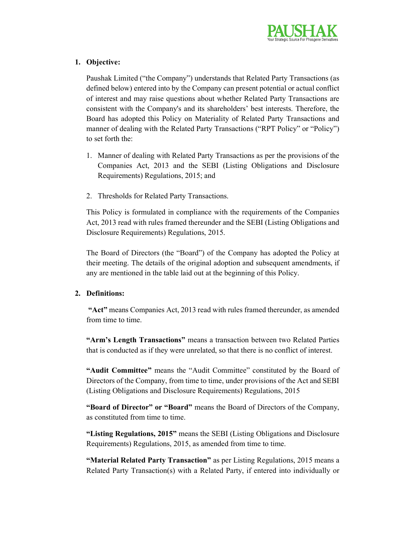

# 1. Objective:

Paushak Limited ("the Company") understands that Related Party Transactions (as defined below) entered into by the Company can present potential or actual conflict of interest and may raise questions about whether Related Party Transactions are consistent with the Company's and its shareholders' best interests. Therefore, the Board has adopted this Policy on Materiality of Related Party Transactions and manner of dealing with the Related Party Transactions ("RPT Policy" or "Policy") to set forth the:

- 1. Manner of dealing with Related Party Transactions as per the provisions of the Companies Act, 2013 and the SEBI (Listing Obligations and Disclosure Requirements) Regulations, 2015; and
- 2. Thresholds for Related Party Transactions.

This Policy is formulated in compliance with the requirements of the Companies Act, 2013 read with rules framed thereunder and the SEBI (Listing Obligations and Disclosure Requirements) Regulations, 2015.

The Board of Directors (the "Board") of the Company has adopted the Policy at their meeting. The details of the original adoption and subsequent amendments, if any are mentioned in the table laid out at the beginning of this Policy.

# 2. Definitions:

"Act" means Companies Act, 2013 read with rules framed thereunder, as amended from time to time.

"Arm's Length Transactions" means a transaction between two Related Parties that is conducted as if they were unrelated, so that there is no conflict of interest.

"Audit Committee" means the "Audit Committee" constituted by the Board of Directors of the Company, from time to time, under provisions of the Act and SEBI (Listing Obligations and Disclosure Requirements) Regulations, 2015

"Board of Director" or "Board" means the Board of Directors of the Company, as constituted from time to time.

"Listing Regulations, 2015" means the SEBI (Listing Obligations and Disclosure Requirements) Regulations, 2015, as amended from time to time.

"Material Related Party Transaction" as per Listing Regulations, 2015 means a Related Party Transaction(s) with a Related Party, if entered into individually or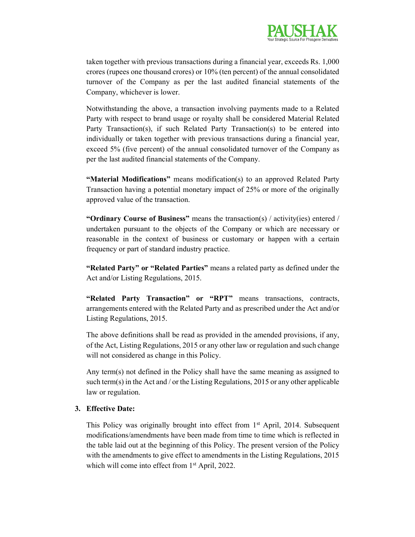

taken together with previous transactions during a financial year, exceeds Rs. 1,000 crores (rupees one thousand crores) or 10% (ten percent) of the annual consolidated turnover of the Company as per the last audited financial statements of the Company, whichever is lower.

Notwithstanding the above, a transaction involving payments made to a Related Party with respect to brand usage or royalty shall be considered Material Related Party Transaction(s), if such Related Party Transaction(s) to be entered into individually or taken together with previous transactions during a financial year, exceed 5% (five percent) of the annual consolidated turnover of the Company as per the last audited financial statements of the Company.

"Material Modifications" means modification(s) to an approved Related Party Transaction having a potential monetary impact of 25% or more of the originally approved value of the transaction.

"Ordinary Course of Business" means the transaction(s) / activity(ies) entered / undertaken pursuant to the objects of the Company or which are necessary or reasonable in the context of business or customary or happen with a certain frequency or part of standard industry practice.

"Related Party" or "Related Parties" means a related party as defined under the Act and/or Listing Regulations, 2015.

"Related Party Transaction" or "RPT" means transactions, contracts, arrangements entered with the Related Party and as prescribed under the Act and/or Listing Regulations, 2015.

The above definitions shall be read as provided in the amended provisions, if any, of the Act, Listing Regulations, 2015 or any other law or regulation and such change will not considered as change in this Policy.

Any term(s) not defined in the Policy shall have the same meaning as assigned to such term(s) in the Act and / or the Listing Regulations, 2015 or any other applicable law or regulation.

#### 3. Effective Date:

This Policy was originally brought into effect from 1<sup>st</sup> April, 2014. Subsequent modifications/amendments have been made from time to time which is reflected in the table laid out at the beginning of this Policy. The present version of the Policy with the amendments to give effect to amendments in the Listing Regulations, 2015 which will come into effect from 1<sup>st</sup> April, 2022.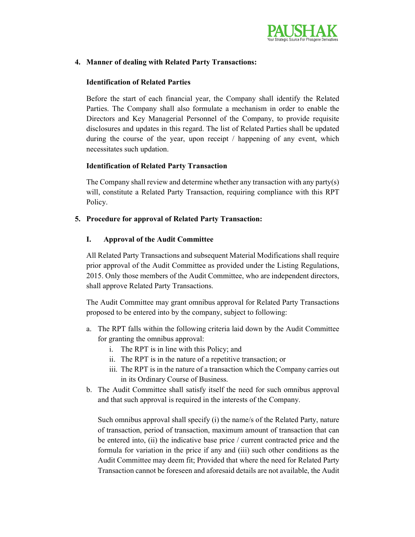

# 4. Manner of dealing with Related Party Transactions:

#### Identification of Related Parties

Before the start of each financial year, the Company shall identify the Related Parties. The Company shall also formulate a mechanism in order to enable the Directors and Key Managerial Personnel of the Company, to provide requisite disclosures and updates in this regard. The list of Related Parties shall be updated during the course of the year, upon receipt / happening of any event, which necessitates such updation.

# Identification of Related Party Transaction

The Company shall review and determine whether any transaction with any party(s) will, constitute a Related Party Transaction, requiring compliance with this RPT Policy.

## 5. Procedure for approval of Related Party Transaction:

## I. Approval of the Audit Committee

All Related Party Transactions and subsequent Material Modifications shall require prior approval of the Audit Committee as provided under the Listing Regulations, 2015. Only those members of the Audit Committee, who are independent directors, shall approve Related Party Transactions.

The Audit Committee may grant omnibus approval for Related Party Transactions proposed to be entered into by the company, subject to following:

- a. The RPT falls within the following criteria laid down by the Audit Committee for granting the omnibus approval:
	- i. The RPT is in line with this Policy; and
	- ii. The RPT is in the nature of a repetitive transaction; or
	- iii. The RPT is in the nature of a transaction which the Company carries out in its Ordinary Course of Business.
- b. The Audit Committee shall satisfy itself the need for such omnibus approval and that such approval is required in the interests of the Company.

Such omnibus approval shall specify (i) the name/s of the Related Party, nature of transaction, period of transaction, maximum amount of transaction that can be entered into, (ii) the indicative base price / current contracted price and the formula for variation in the price if any and (iii) such other conditions as the Audit Committee may deem fit; Provided that where the need for Related Party Transaction cannot be foreseen and aforesaid details are not available, the Audit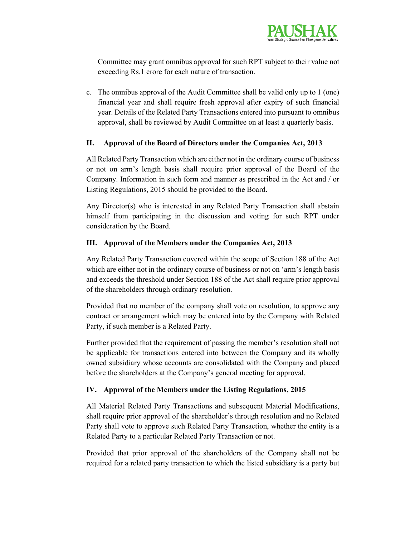

Committee may grant omnibus approval for such RPT subject to their value not exceeding Rs.1 crore for each nature of transaction.

c. The omnibus approval of the Audit Committee shall be valid only up to 1 (one) financial year and shall require fresh approval after expiry of such financial year. Details of the Related Party Transactions entered into pursuant to omnibus approval, shall be reviewed by Audit Committee on at least a quarterly basis.

## II. Approval of the Board of Directors under the Companies Act, 2013

All Related Party Transaction which are either not in the ordinary course of business or not on arm's length basis shall require prior approval of the Board of the Company. Information in such form and manner as prescribed in the Act and / or Listing Regulations, 2015 should be provided to the Board.

Any Director(s) who is interested in any Related Party Transaction shall abstain himself from participating in the discussion and voting for such RPT under consideration by the Board.

## III. Approval of the Members under the Companies Act, 2013

Any Related Party Transaction covered within the scope of Section 188 of the Act which are either not in the ordinary course of business or not on 'arm's length basis and exceeds the threshold under Section 188 of the Act shall require prior approval of the shareholders through ordinary resolution.

Provided that no member of the company shall vote on resolution, to approve any contract or arrangement which may be entered into by the Company with Related Party, if such member is a Related Party.

Further provided that the requirement of passing the member's resolution shall not be applicable for transactions entered into between the Company and its wholly owned subsidiary whose accounts are consolidated with the Company and placed before the shareholders at the Company's general meeting for approval.

# IV. Approval of the Members under the Listing Regulations, 2015

All Material Related Party Transactions and subsequent Material Modifications, shall require prior approval of the shareholder's through resolution and no Related Party shall vote to approve such Related Party Transaction, whether the entity is a Related Party to a particular Related Party Transaction or not.

Provided that prior approval of the shareholders of the Company shall not be required for a related party transaction to which the listed subsidiary is a party but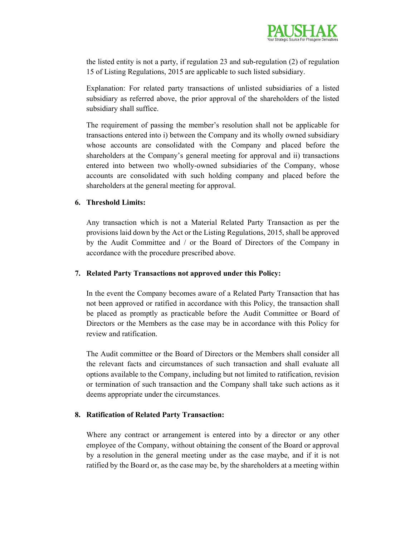

the listed entity is not a party, if regulation 23 and sub-regulation (2) of regulation 15 of Listing Regulations, 2015 are applicable to such listed subsidiary.

Explanation: For related party transactions of unlisted subsidiaries of a listed subsidiary as referred above, the prior approval of the shareholders of the listed subsidiary shall suffice.

The requirement of passing the member's resolution shall not be applicable for transactions entered into i) between the Company and its wholly owned subsidiary whose accounts are consolidated with the Company and placed before the shareholders at the Company's general meeting for approval and ii) transactions entered into between two wholly-owned subsidiaries of the Company, whose accounts are consolidated with such holding company and placed before the shareholders at the general meeting for approval.

#### 6. Threshold Limits:

Any transaction which is not a Material Related Party Transaction as per the provisions laid down by the Act or the Listing Regulations, 2015, shall be approved by the Audit Committee and / or the Board of Directors of the Company in accordance with the procedure prescribed above.

#### 7. Related Party Transactions not approved under this Policy:

In the event the Company becomes aware of a Related Party Transaction that has not been approved or ratified in accordance with this Policy, the transaction shall be placed as promptly as practicable before the Audit Committee or Board of Directors or the Members as the case may be in accordance with this Policy for review and ratification.

The Audit committee or the Board of Directors or the Members shall consider all the relevant facts and circumstances of such transaction and shall evaluate all options available to the Company, including but not limited to ratification, revision or termination of such transaction and the Company shall take such actions as it deems appropriate under the circumstances.

#### 8. Ratification of Related Party Transaction:

Where any contract or arrangement is entered into by a director or any other employee of the Company, without obtaining the consent of the Board or approval by a resolution in the general meeting under as the case maybe, and if it is not ratified by the Board or, as the case may be, by the shareholders at a meeting within